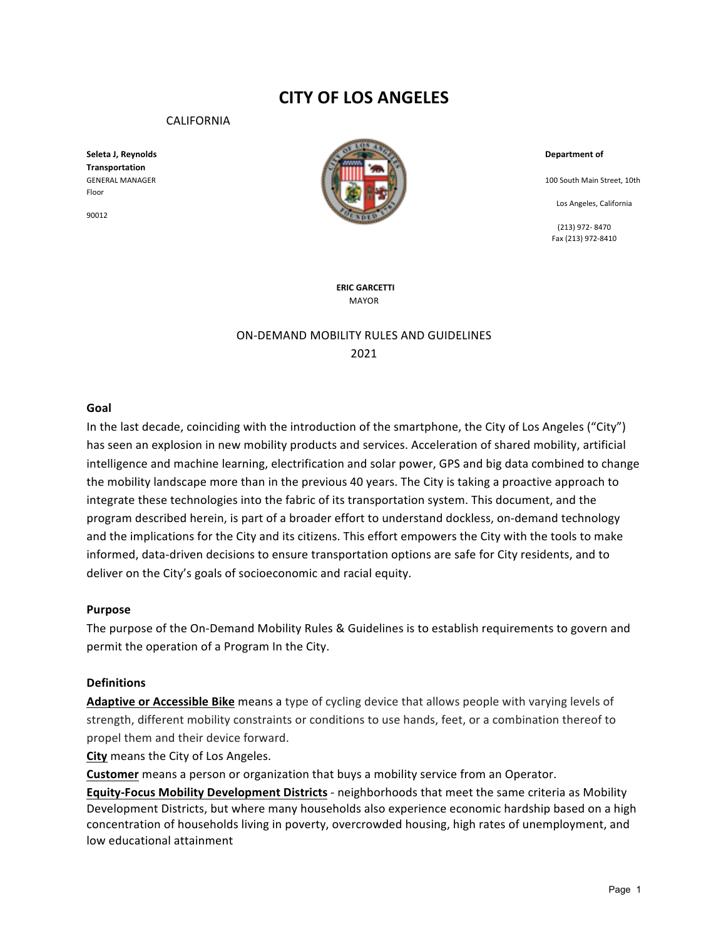# **CITY OF LOS ANGELES**

#### **CALIFORNIA**

**Transportation** Floor

90012



Los Angeles, California

Fax (213) 972-8410

**ERIC GARCETTI** MAYOR

# ON-DEMAND MOBILITY RULES AND GUIDELINES 2021

#### **Goal**

In the last decade, coinciding with the introduction of the smartphone, the City of Los Angeles ("City") has seen an explosion in new mobility products and services. Acceleration of shared mobility, artificial intelligence and machine learning, electrification and solar power, GPS and big data combined to change the mobility landscape more than in the previous 40 years. The City is taking a proactive approach to integrate these technologies into the fabric of its transportation system. This document, and the program described herein, is part of a broader effort to understand dockless, on-demand technology and the implications for the City and its citizens. This effort empowers the City with the tools to make informed, data-driven decisions to ensure transportation options are safe for City residents, and to deliver on the City's goals of socioeconomic and racial equity.

#### **Purpose**

The purpose of the On-Demand Mobility Rules & Guidelines is to establish requirements to govern and permit the operation of a Program In the City.

#### **Definitions**

**Adaptive or Accessible Bike** means a type of cycling device that allows people with varying levels of strength, different mobility constraints or conditions to use hands, feet, or a combination thereof to propel them and their device forward.

**City** means the City of Los Angeles.

**Customer** means a person or organization that buys a mobility service from an Operator.

**Equity-Focus Mobility Development Districts** - neighborhoods that meet the same criteria as Mobility Development Districts, but where many households also experience economic hardship based on a high concentration of households living in poverty, overcrowded housing, high rates of unemployment, and low educational attainment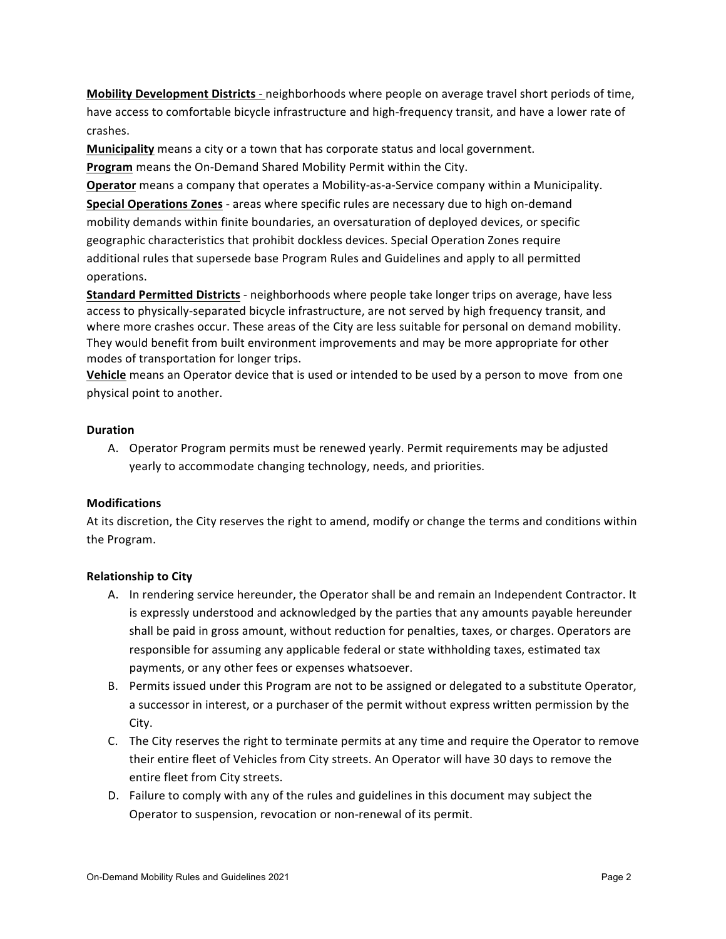**Mobility Development Districts** - neighborhoods where people on average travel short periods of time, have access to comfortable bicycle infrastructure and high-frequency transit, and have a lower rate of crashes.

**Municipality** means a city or a town that has corporate status and local government.

**Program** means the On-Demand Shared Mobility Permit within the City.

**Operator** means a company that operates a Mobility-as-a-Service company within a Municipality. **Special Operations Zones** - areas where specific rules are necessary due to high on-demand mobility demands within finite boundaries, an oversaturation of deployed devices, or specific geographic characteristics that prohibit dockless devices. Special Operation Zones require additional rules that supersede base Program Rules and Guidelines and apply to all permitted operations.

**Standard Permitted Districts** - neighborhoods where people take longer trips on average, have less access to physically-separated bicycle infrastructure, are not served by high frequency transit, and where more crashes occur. These areas of the City are less suitable for personal on demand mobility. They would benefit from built environment improvements and may be more appropriate for other modes of transportation for longer trips.

**Vehicle** means an Operator device that is used or intended to be used by a person to move from one physical point to another.

# **Duration**

A. Operator Program permits must be renewed yearly. Permit requirements may be adjusted yearly to accommodate changing technology, needs, and priorities.

# **Modifications**

At its discretion, the City reserves the right to amend, modify or change the terms and conditions within the Program.

# **Relationship to City**

- A. In rendering service hereunder, the Operator shall be and remain an Independent Contractor. It is expressly understood and acknowledged by the parties that any amounts payable hereunder shall be paid in gross amount, without reduction for penalties, taxes, or charges. Operators are responsible for assuming any applicable federal or state withholding taxes, estimated tax payments, or any other fees or expenses whatsoever.
- B. Permits issued under this Program are not to be assigned or delegated to a substitute Operator, a successor in interest, or a purchaser of the permit without express written permission by the City.
- C. The City reserves the right to terminate permits at any time and require the Operator to remove their entire fleet of Vehicles from City streets. An Operator will have 30 days to remove the entire fleet from City streets.
- D. Failure to comply with any of the rules and guidelines in this document may subject the Operator to suspension, revocation or non-renewal of its permit.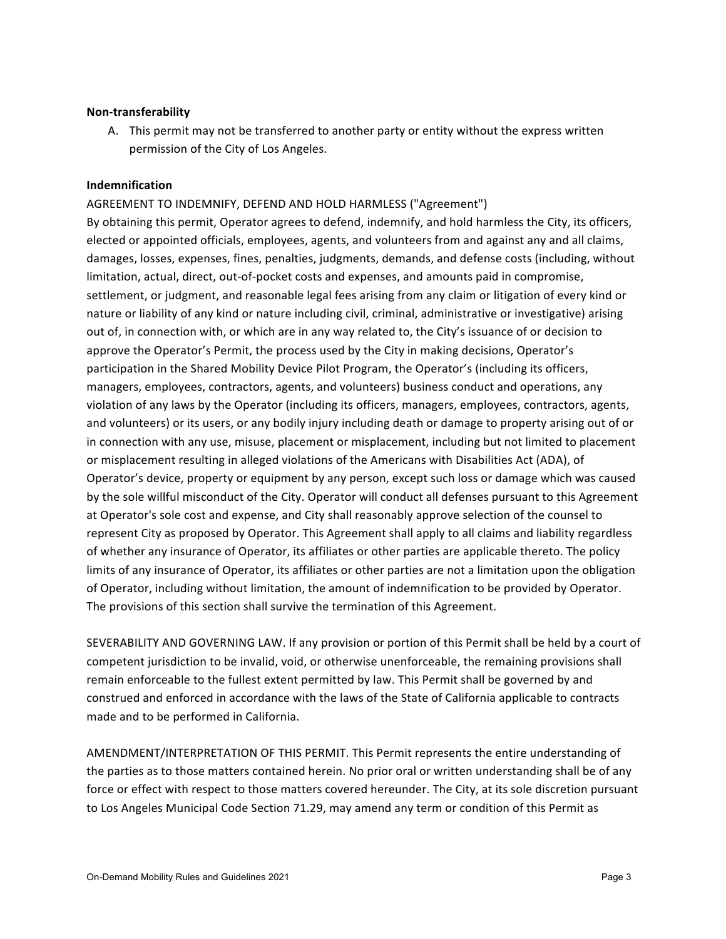#### **Non-transferability**

A. This permit may not be transferred to another party or entity without the express written permission of the City of Los Angeles.

# **Indemnification**

AGREEMENT TO INDEMNIFY, DEFEND AND HOLD HARMLESS ("Agreement") By obtaining this permit, Operator agrees to defend, indemnify, and hold harmless the City, its officers, elected or appointed officials, employees, agents, and volunteers from and against any and all claims, damages, losses, expenses, fines, penalties, judgments, demands, and defense costs (including, without limitation, actual, direct, out-of-pocket costs and expenses, and amounts paid in compromise, settlement, or judgment, and reasonable legal fees arising from any claim or litigation of every kind or nature or liability of any kind or nature including civil, criminal, administrative or investigative) arising out of, in connection with, or which are in any way related to, the City's issuance of or decision to approve the Operator's Permit, the process used by the City in making decisions, Operator's participation in the Shared Mobility Device Pilot Program, the Operator's (including its officers, managers, employees, contractors, agents, and volunteers) business conduct and operations, any violation of any laws by the Operator (including its officers, managers, employees, contractors, agents, and volunteers) or its users, or any bodily injury including death or damage to property arising out of or in connection with any use, misuse, placement or misplacement, including but not limited to placement or misplacement resulting in alleged violations of the Americans with Disabilities Act (ADA), of Operator's device, property or equipment by any person, except such loss or damage which was caused by the sole willful misconduct of the City. Operator will conduct all defenses pursuant to this Agreement at Operator's sole cost and expense, and City shall reasonably approve selection of the counsel to represent City as proposed by Operator. This Agreement shall apply to all claims and liability regardless of whether any insurance of Operator, its affiliates or other parties are applicable thereto. The policy limits of any insurance of Operator, its affiliates or other parties are not a limitation upon the obligation of Operator, including without limitation, the amount of indemnification to be provided by Operator. The provisions of this section shall survive the termination of this Agreement.

SEVERABILITY AND GOVERNING LAW. If any provision or portion of this Permit shall be held by a court of competent jurisdiction to be invalid, void, or otherwise unenforceable, the remaining provisions shall remain enforceable to the fullest extent permitted by law. This Permit shall be governed by and construed and enforced in accordance with the laws of the State of California applicable to contracts made and to be performed in California.

AMENDMENT/INTERPRETATION OF THIS PERMIT. This Permit represents the entire understanding of the parties as to those matters contained herein. No prior oral or written understanding shall be of any force or effect with respect to those matters covered hereunder. The City, at its sole discretion pursuant to Los Angeles Municipal Code Section 71.29, may amend any term or condition of this Permit as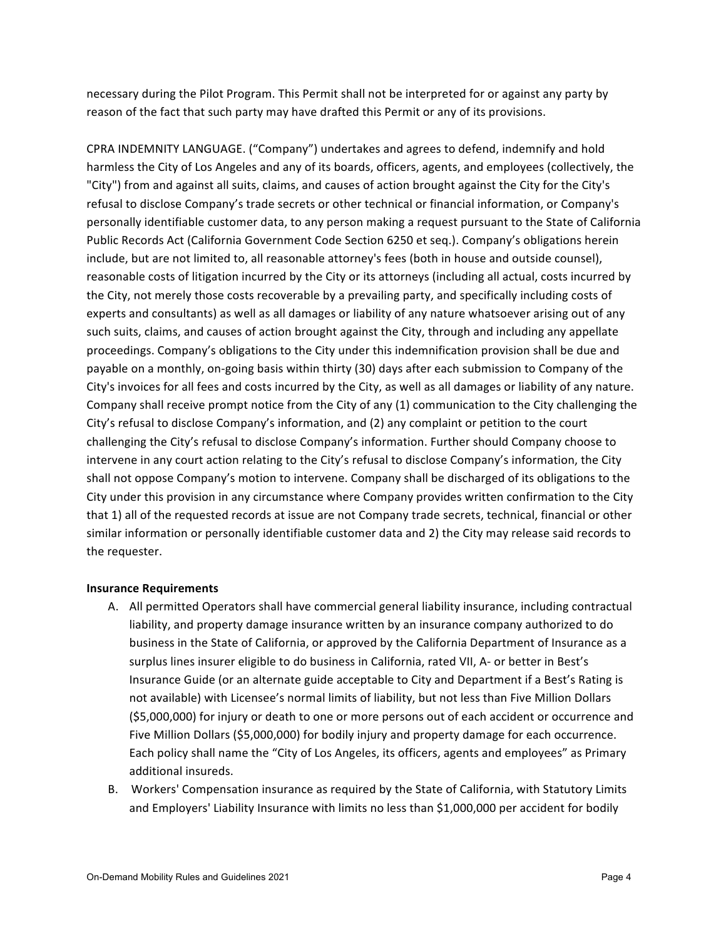necessary during the Pilot Program. This Permit shall not be interpreted for or against any party by reason of the fact that such party may have drafted this Permit or any of its provisions.

CPRA INDEMNITY LANGUAGE. ("Company") undertakes and agrees to defend, indemnify and hold harmless the City of Los Angeles and any of its boards, officers, agents, and employees (collectively, the "City") from and against all suits, claims, and causes of action brought against the City for the City's refusal to disclose Company's trade secrets or other technical or financial information, or Company's personally identifiable customer data, to any person making a request pursuant to the State of California Public Records Act (California Government Code Section 6250 et seq.). Company's obligations herein include, but are not limited to, all reasonable attorney's fees (both in house and outside counsel), reasonable costs of litigation incurred by the City or its attorneys (including all actual, costs incurred by the City, not merely those costs recoverable by a prevailing party, and specifically including costs of experts and consultants) as well as all damages or liability of any nature whatsoever arising out of any such suits, claims, and causes of action brought against the City, through and including any appellate proceedings. Company's obligations to the City under this indemnification provision shall be due and payable on a monthly, on-going basis within thirty (30) days after each submission to Company of the City's invoices for all fees and costs incurred by the City, as well as all damages or liability of any nature. Company shall receive prompt notice from the City of any (1) communication to the City challenging the City's refusal to disclose Company's information, and (2) any complaint or petition to the court challenging the City's refusal to disclose Company's information. Further should Company choose to intervene in any court action relating to the City's refusal to disclose Company's information, the City shall not oppose Company's motion to intervene. Company shall be discharged of its obligations to the City under this provision in any circumstance where Company provides written confirmation to the City that 1) all of the requested records at issue are not Company trade secrets, technical, financial or other similar information or personally identifiable customer data and 2) the City may release said records to the requester.

#### **Insurance Requirements**

- A. All permitted Operators shall have commercial general liability insurance, including contractual liability, and property damage insurance written by an insurance company authorized to do business in the State of California, or approved by the California Department of Insurance as a surplus lines insurer eligible to do business in California, rated VII, A- or better in Best's Insurance Guide (or an alternate guide acceptable to City and Department if a Best's Rating is not available) with Licensee's normal limits of liability, but not less than Five Million Dollars (\$5,000,000) for injury or death to one or more persons out of each accident or occurrence and Five Million Dollars (\$5,000,000) for bodily injury and property damage for each occurrence. Each policy shall name the "City of Los Angeles, its officers, agents and employees" as Primary additional insureds.
- B. Workers' Compensation insurance as required by the State of California, with Statutory Limits and Employers' Liability Insurance with limits no less than \$1,000,000 per accident for bodily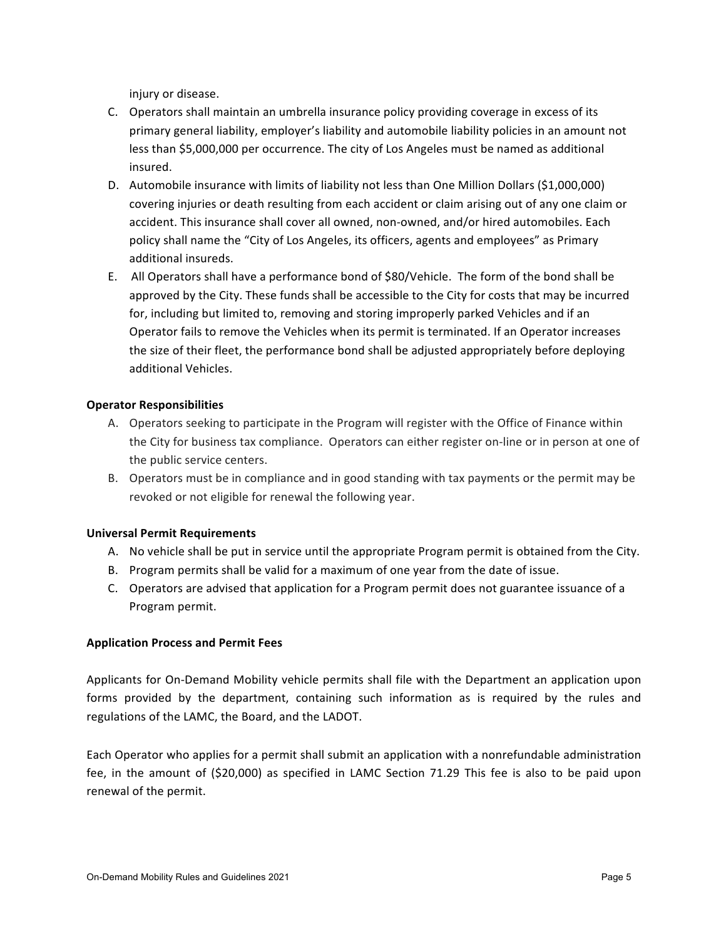injury or disease.

- C. Operators shall maintain an umbrella insurance policy providing coverage in excess of its primary general liability, employer's liability and automobile liability policies in an amount not less than \$5,000,000 per occurrence. The city of Los Angeles must be named as additional insured.
- D. Automobile insurance with limits of liability not less than One Million Dollars (\$1,000,000) covering injuries or death resulting from each accident or claim arising out of any one claim or accident. This insurance shall cover all owned, non-owned, and/or hired automobiles. Each policy shall name the "City of Los Angeles, its officers, agents and employees" as Primary additional insureds.
- E. All Operators shall have a performance bond of \$80/Vehicle. The form of the bond shall be approved by the City. These funds shall be accessible to the City for costs that may be incurred for, including but limited to, removing and storing improperly parked Vehicles and if an Operator fails to remove the Vehicles when its permit is terminated. If an Operator increases the size of their fleet, the performance bond shall be adjusted appropriately before deploying additional Vehicles.

# **Operator Responsibilities**

- A. Operators seeking to participate in the Program will register with the Office of Finance within the City for business tax compliance. Operators can either register on-line or in person at one of the public service centers.
- B. Operators must be in compliance and in good standing with tax payments or the permit may be revoked or not eligible for renewal the following year.

#### **Universal Permit Requirements**

- A. No vehicle shall be put in service until the appropriate Program permit is obtained from the City.
- B. Program permits shall be valid for a maximum of one year from the date of issue.
- C. Operators are advised that application for a Program permit does not guarantee issuance of a Program permit.

#### **Application Process and Permit Fees**

Applicants for On-Demand Mobility vehicle permits shall file with the Department an application upon forms provided by the department, containing such information as is required by the rules and regulations of the LAMC, the Board, and the LADOT.

Each Operator who applies for a permit shall submit an application with a nonrefundable administration fee, in the amount of  $(520,000)$  as specified in LAMC Section 71.29 This fee is also to be paid upon renewal of the permit.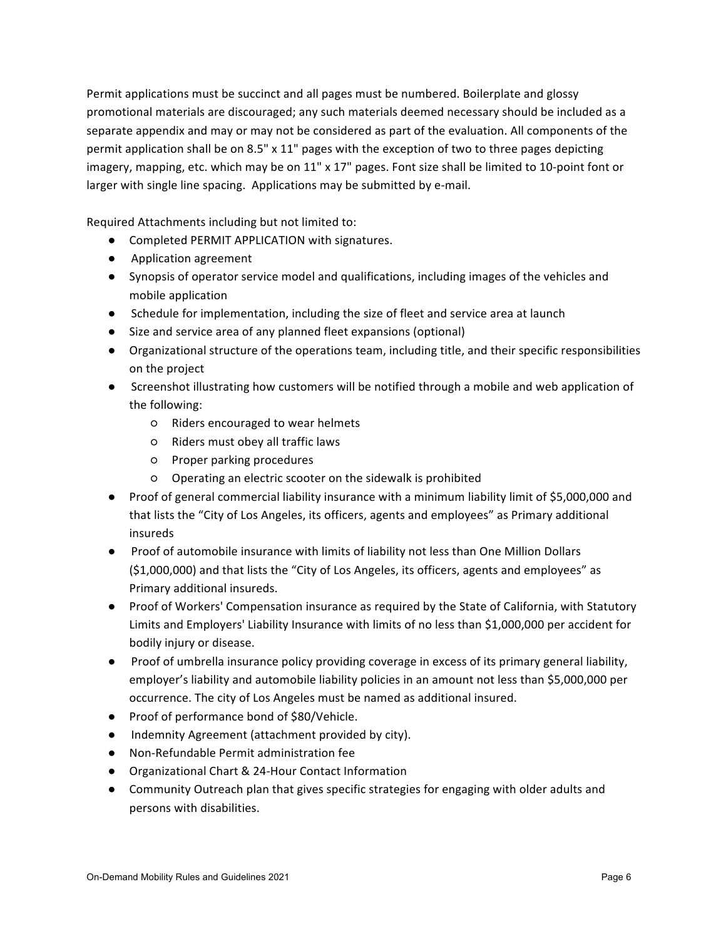Permit applications must be succinct and all pages must be numbered. Boilerplate and glossy promotional materials are discouraged; any such materials deemed necessary should be included as a separate appendix and may or may not be considered as part of the evaluation. All components of the permit application shall be on 8.5"  $\times$  11" pages with the exception of two to three pages depicting imagery, mapping, etc. which may be on 11" x 17" pages. Font size shall be limited to 10-point font or larger with single line spacing. Applications may be submitted by e-mail.

Required Attachments including but not limited to:

- Completed PERMIT APPLICATION with signatures.
- Application agreement
- Synopsis of operator service model and qualifications, including images of the vehicles and mobile application
- Schedule for implementation, including the size of fleet and service area at launch
- Size and service area of any planned fleet expansions (optional)
- Organizational structure of the operations team, including title, and their specific responsibilities on the project
- Screenshot illustrating how customers will be notified through a mobile and web application of the following:
	- Riders encouraged to wear helmets
	- Riders must obey all traffic laws
	- Proper parking procedures
	- $\circ$  Operating an electric scooter on the sidewalk is prohibited
- Proof of general commercial liability insurance with a minimum liability limit of \$5,000,000 and that lists the "City of Los Angeles, its officers, agents and employees" as Primary additional insureds
- Proof of automobile insurance with limits of liability not less than One Million Dollars (\$1,000,000) and that lists the "City of Los Angeles, its officers, agents and employees" as Primary additional insureds.
- Proof of Workers' Compensation insurance as required by the State of California, with Statutory Limits and Employers' Liability Insurance with limits of no less than \$1,000,000 per accident for bodily injury or disease.
- Proof of umbrella insurance policy providing coverage in excess of its primary general liability, employer's liability and automobile liability policies in an amount not less than \$5,000,000 per occurrence. The city of Los Angeles must be named as additional insured.
- Proof of performance bond of \$80/Vehicle.
- Indemnity Agreement (attachment provided by city).
- Non-Refundable Permit administration fee
- Organizational Chart & 24-Hour Contact Information
- Community Outreach plan that gives specific strategies for engaging with older adults and persons with disabilities.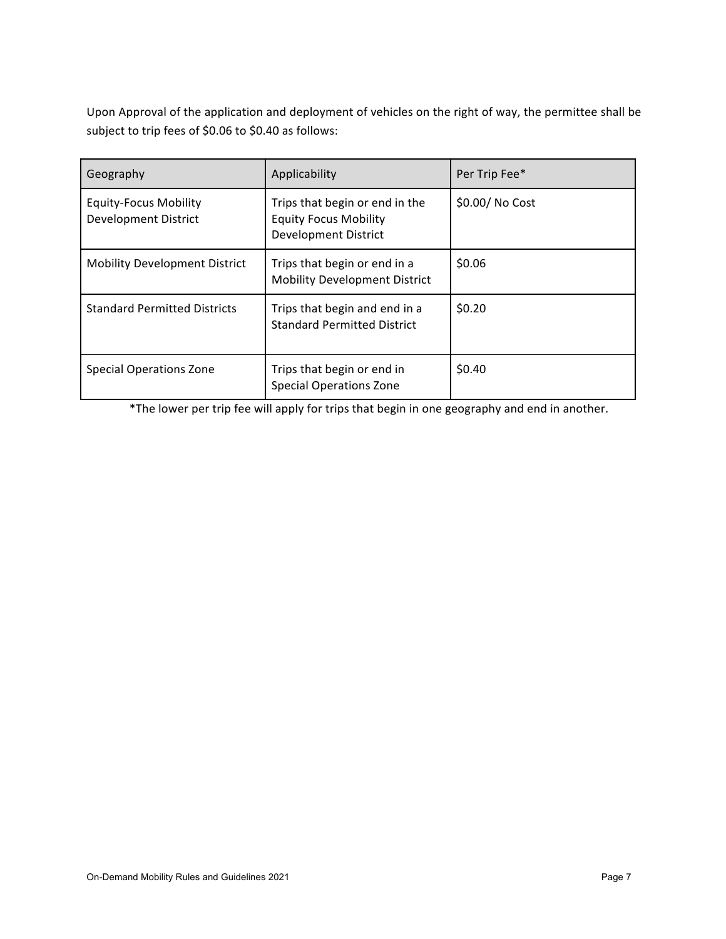Upon Approval of the application and deployment of vehicles on the right of way, the permittee shall be subject to trip fees of \$0.06 to \$0.40 as follows:

| Geography                                                   | Applicability                                                                          | Per Trip Fee*   |
|-------------------------------------------------------------|----------------------------------------------------------------------------------------|-----------------|
| <b>Equity-Focus Mobility</b><br><b>Development District</b> | Trips that begin or end in the<br><b>Equity Focus Mobility</b><br>Development District | \$0.00/ No Cost |
| <b>Mobility Development District</b>                        | Trips that begin or end in a<br><b>Mobility Development District</b>                   | \$0.06          |
| <b>Standard Permitted Districts</b>                         | Trips that begin and end in a<br><b>Standard Permitted District</b>                    | \$0.20          |
| Special Operations Zone                                     | Trips that begin or end in<br><b>Special Operations Zone</b>                           | \$0.40          |

\*The lower per trip fee will apply for trips that begin in one geography and end in another.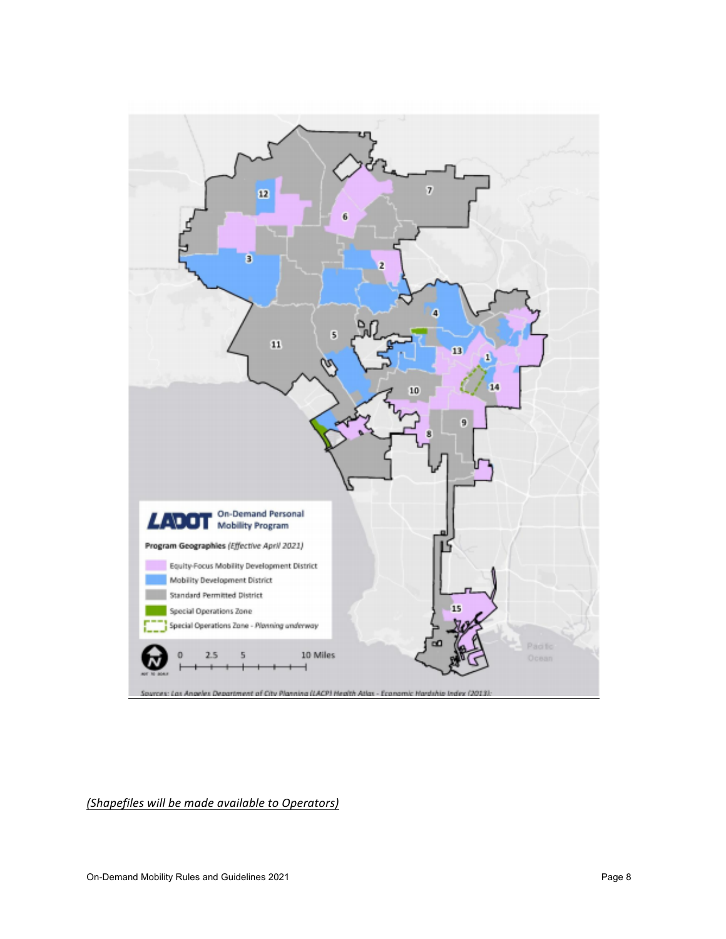

*(Shapefiles will be made available to Operators)*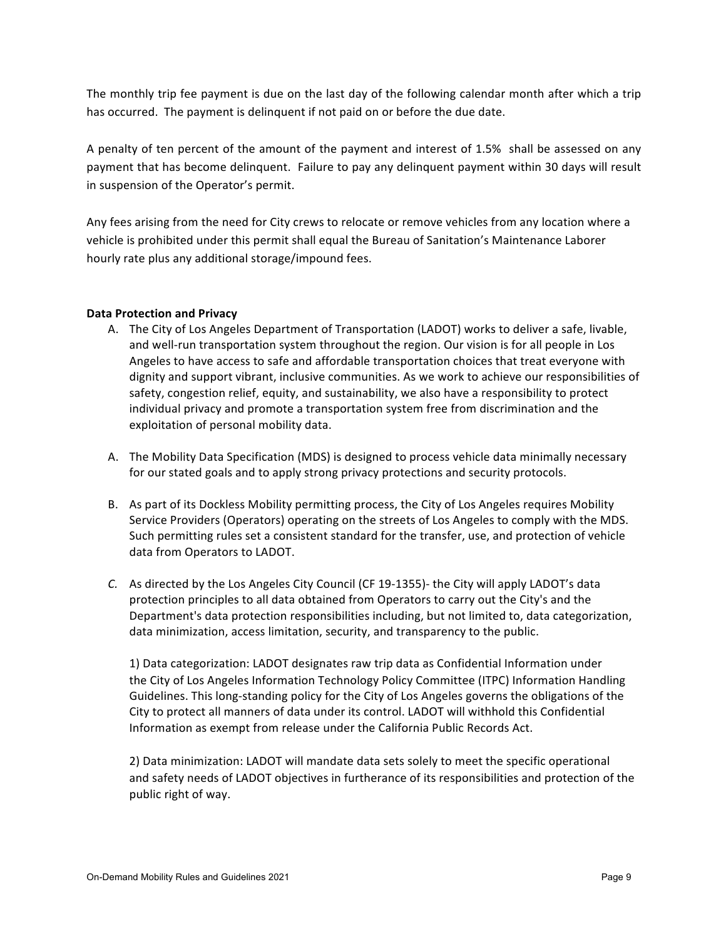The monthly trip fee payment is due on the last day of the following calendar month after which a trip has occurred. The payment is delinquent if not paid on or before the due date.

A penalty of ten percent of the amount of the payment and interest of 1.5% shall be assessed on any payment that has become delinquent. Failure to pay any delinquent payment within 30 days will result in suspension of the Operator's permit.

Any fees arising from the need for City crews to relocate or remove vehicles from any location where a vehicle is prohibited under this permit shall equal the Bureau of Sanitation's Maintenance Laborer hourly rate plus any additional storage/impound fees.

# **Data Protection and Privacy**

- A. The City of Los Angeles Department of Transportation (LADOT) works to deliver a safe, livable, and well-run transportation system throughout the region. Our vision is for all people in Los Angeles to have access to safe and affordable transportation choices that treat everyone with dignity and support vibrant, inclusive communities. As we work to achieve our responsibilities of safety, congestion relief, equity, and sustainability, we also have a responsibility to protect individual privacy and promote a transportation system free from discrimination and the exploitation of personal mobility data.
- A. The Mobility Data Specification (MDS) is designed to process vehicle data minimally necessary for our stated goals and to apply strong privacy protections and security protocols.
- B. As part of its Dockless Mobility permitting process, the City of Los Angeles requires Mobility Service Providers (Operators) operating on the streets of Los Angeles to comply with the MDS. Such permitting rules set a consistent standard for the transfer, use, and protection of vehicle data from Operators to LADOT.
- *C.* As directed by the Los Angeles City Council (CF 19-1355)- the City will apply LADOT's data protection principles to all data obtained from Operators to carry out the City's and the Department's data protection responsibilities including, but not limited to, data categorization, data minimization, access limitation, security, and transparency to the public.

1) Data categorization: LADOT designates raw trip data as Confidential Information under the City of Los Angeles Information Technology Policy Committee (ITPC) Information Handling Guidelines. This long-standing policy for the City of Los Angeles governs the obligations of the City to protect all manners of data under its control. LADOT will withhold this Confidential Information as exempt from release under the California Public Records Act.

2) Data minimization: LADOT will mandate data sets solely to meet the specific operational and safety needs of LADOT objectives in furtherance of its responsibilities and protection of the public right of way.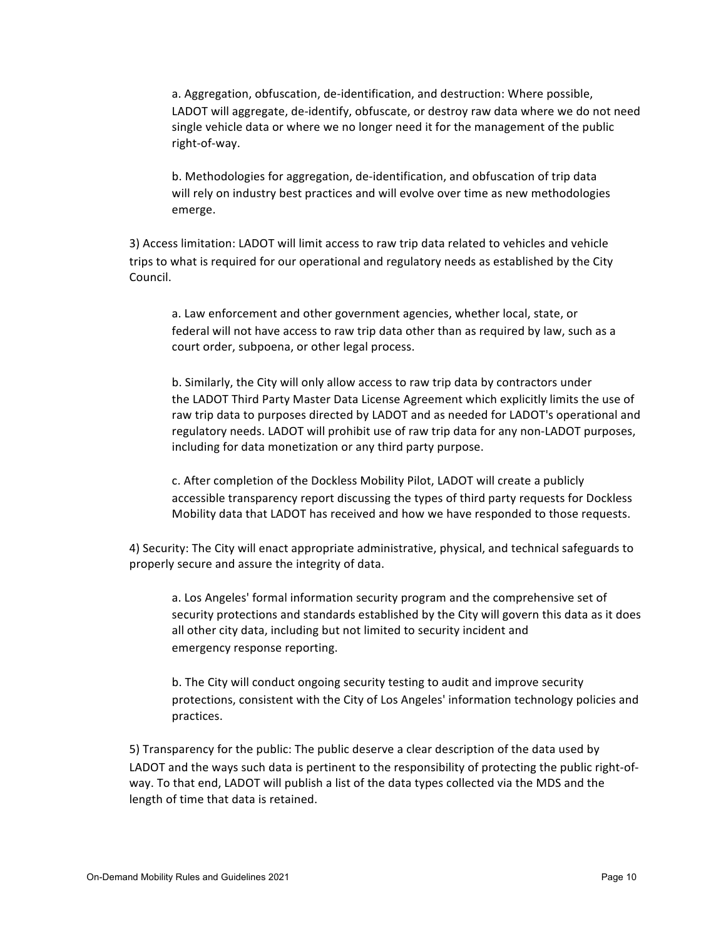a. Aggregation, obfuscation, de-identification, and destruction: Where possible, LADOT will aggregate, de-identify, obfuscate, or destroy raw data where we do not need single vehicle data or where we no longer need it for the management of the public right-of-way. 

b. Methodologies for aggregation, de-identification, and obfuscation of trip data will rely on industry best practices and will evolve over time as new methodologies emerge. 

3) Access limitation: LADOT will limit access to raw trip data related to vehicles and vehicle trips to what is required for our operational and regulatory needs as established by the City Council. 

a. Law enforcement and other government agencies, whether local, state, or federal will not have access to raw trip data other than as required by law, such as a court order, subpoena, or other legal process.

b. Similarly, the City will only allow access to raw trip data by contractors under the LADOT Third Party Master Data License Agreement which explicitly limits the use of raw trip data to purposes directed by LADOT and as needed for LADOT's operational and regulatory needs. LADOT will prohibit use of raw trip data for any non-LADOT purposes, including for data monetization or any third party purpose.

c. After completion of the Dockless Mobility Pilot, LADOT will create a publicly accessible transparency report discussing the types of third party requests for Dockless Mobility data that LADOT has received and how we have responded to those requests.

4) Security: The City will enact appropriate administrative, physical, and technical safeguards to properly secure and assure the integrity of data.

a. Los Angeles' formal information security program and the comprehensive set of security protections and standards established by the City will govern this data as it does all other city data, including but not limited to security incident and emergency response reporting.

b. The City will conduct ongoing security testing to audit and improve security protections, consistent with the City of Los Angeles' information technology policies and practices. 

5) Transparency for the public: The public deserve a clear description of the data used by LADOT and the ways such data is pertinent to the responsibility of protecting the public right-ofway. To that end, LADOT will publish a list of the data types collected via the MDS and the length of time that data is retained.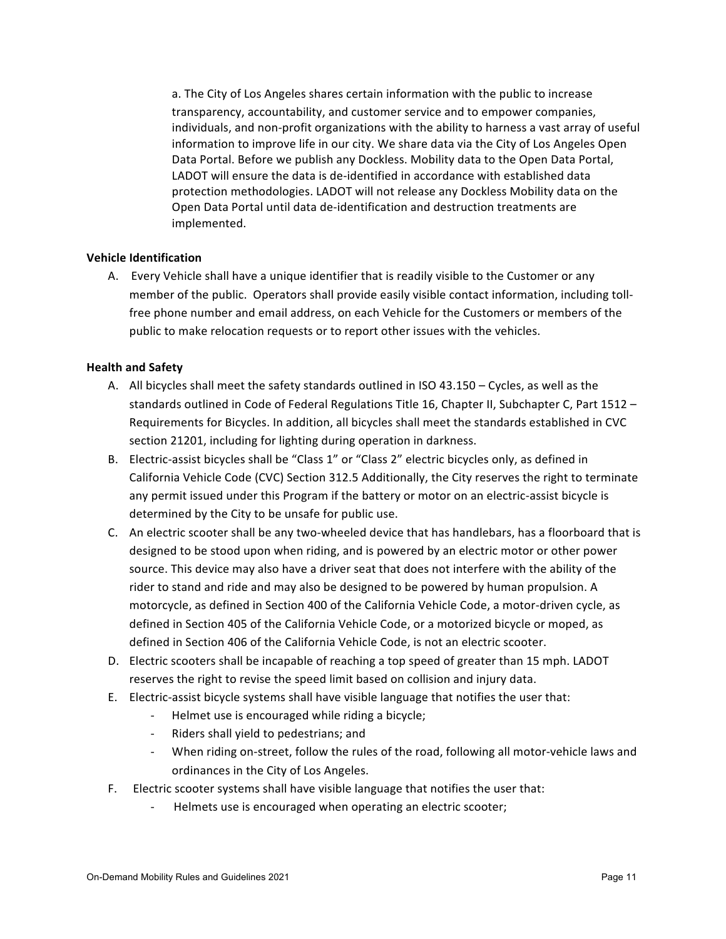a. The City of Los Angeles shares certain information with the public to increase transparency, accountability, and customer service and to empower companies, individuals, and non-profit organizations with the ability to harness a vast array of useful information to improve life in our city. We share data via the City of Los Angeles Open Data Portal. Before we publish any Dockless. Mobility data to the Open Data Portal, LADOT will ensure the data is de-identified in accordance with established data protection methodologies. LADOT will not release any Dockless Mobility data on the Open Data Portal until data de-identification and destruction treatments are implemented. 

### **Vehicle Identification**

A. Every Vehicle shall have a unique identifier that is readily visible to the Customer or any member of the public. Operators shall provide easily visible contact information, including tollfree phone number and email address, on each Vehicle for the Customers or members of the public to make relocation requests or to report other issues with the vehicles.

### **Health and Safety**

- A. All bicycles shall meet the safety standards outlined in ISO 43.150 Cycles, as well as the standards outlined in Code of Federal Regulations Title 16, Chapter II, Subchapter C, Part 1512 -Requirements for Bicycles. In addition, all bicycles shall meet the standards established in CVC section 21201, including for lighting during operation in darkness.
- B. Electric-assist bicycles shall be "Class 1" or "Class 2" electric bicycles only, as defined in California Vehicle Code (CVC) Section 312.5 Additionally, the City reserves the right to terminate any permit issued under this Program if the battery or motor on an electric-assist bicycle is determined by the City to be unsafe for public use.
- C. An electric scooter shall be any two-wheeled device that has handlebars, has a floorboard that is designed to be stood upon when riding, and is powered by an electric motor or other power source. This device may also have a driver seat that does not interfere with the ability of the rider to stand and ride and may also be designed to be powered by human propulsion. A motorcycle, as defined in Section 400 of the California Vehicle Code, a motor-driven cycle, as defined in Section 405 of the California Vehicle Code, or a motorized bicycle or moped, as defined in Section 406 of the California Vehicle Code, is not an electric scooter.
- D. Electric scooters shall be incapable of reaching a top speed of greater than 15 mph. LADOT reserves the right to revise the speed limit based on collision and injury data.
- E. Electric-assist bicycle systems shall have visible language that notifies the user that:
	- Helmet use is encouraged while riding a bicycle;
	- Riders shall yield to pedestrians; and
	- When riding on-street, follow the rules of the road, following all motor-vehicle laws and ordinances in the City of Los Angeles.
- F. Electric scooter systems shall have visible language that notifies the user that:
	- Helmets use is encouraged when operating an electric scooter;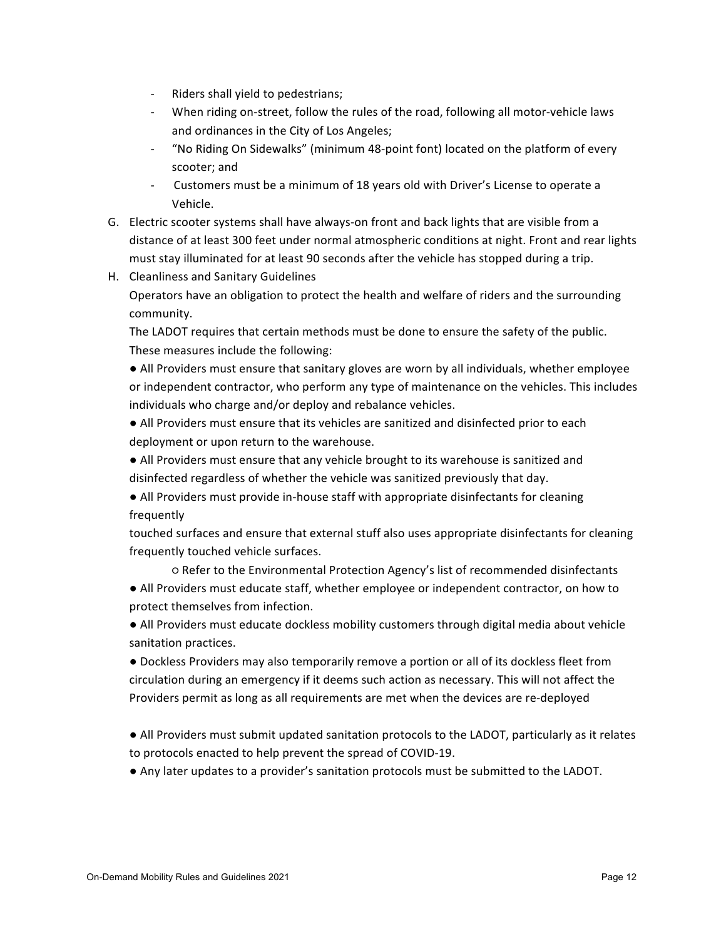- Riders shall yield to pedestrians;
- When riding on-street, follow the rules of the road, following all motor-vehicle laws and ordinances in the City of Los Angeles;
- "No Riding On Sidewalks" (minimum 48-point font) located on the platform of every scooter; and
- Customers must be a minimum of 18 years old with Driver's License to operate a Vehicle.
- G. Electric scooter systems shall have always-on front and back lights that are visible from a distance of at least 300 feet under normal atmospheric conditions at night. Front and rear lights must stay illuminated for at least 90 seconds after the vehicle has stopped during a trip.
- H. Cleanliness and Sanitary Guidelines

Operators have an obligation to protect the health and welfare of riders and the surrounding community.

The LADOT requires that certain methods must be done to ensure the safety of the public. These measures include the following:

• All Providers must ensure that sanitary gloves are worn by all individuals, whether employee or independent contractor, who perform any type of maintenance on the vehicles. This includes individuals who charge and/or deploy and rebalance vehicles.

• All Providers must ensure that its vehicles are sanitized and disinfected prior to each deployment or upon return to the warehouse.

• All Providers must ensure that any vehicle brought to its warehouse is sanitized and disinfected regardless of whether the vehicle was sanitized previously that day.

• All Providers must provide in-house staff with appropriate disinfectants for cleaning frequently

touched surfaces and ensure that external stuff also uses appropriate disinfectants for cleaning frequently touched vehicle surfaces.

 $\circ$  Refer to the Environmental Protection Agency's list of recommended disinfectants • All Providers must educate staff, whether employee or independent contractor, on how to protect themselves from infection.

• All Providers must educate dockless mobility customers through digital media about vehicle sanitation practices.

• Dockless Providers may also temporarily remove a portion or all of its dockless fleet from circulation during an emergency if it deems such action as necessary. This will not affect the Providers permit as long as all requirements are met when the devices are re-deployed

• All Providers must submit updated sanitation protocols to the LADOT, particularly as it relates to protocols enacted to help prevent the spread of COVID-19.

● Any later updates to a provider's sanitation protocols must be submitted to the LADOT.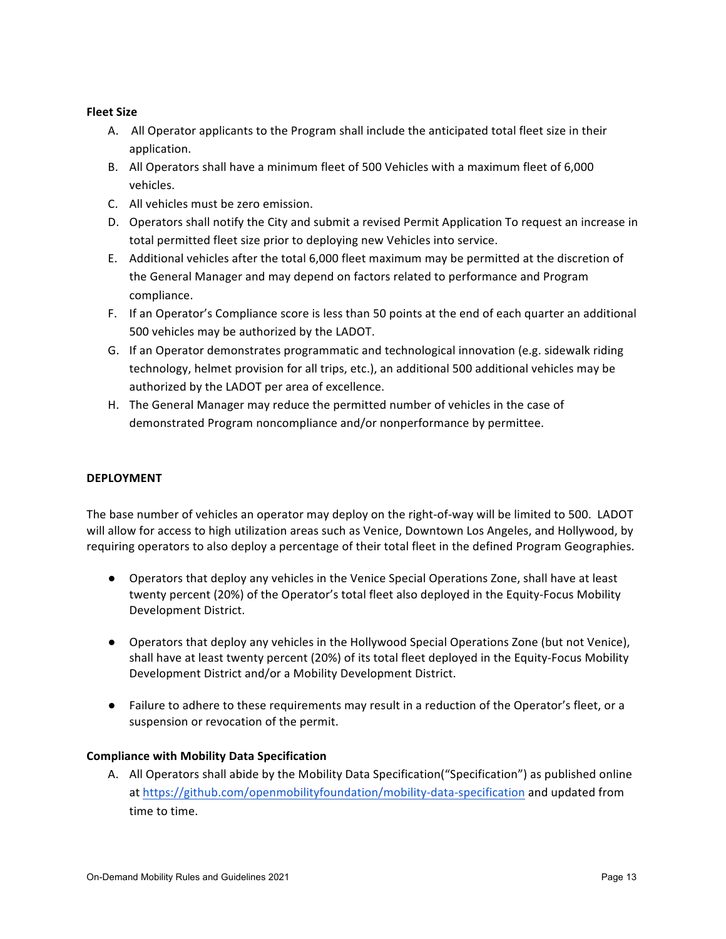# **Fleet Size**

- A. All Operator applicants to the Program shall include the anticipated total fleet size in their application.
- B. All Operators shall have a minimum fleet of 500 Vehicles with a maximum fleet of 6,000 vehicles.
- C. All vehicles must be zero emission.
- D. Operators shall notify the City and submit a revised Permit Application To request an increase in total permitted fleet size prior to deploying new Vehicles into service.
- E. Additional vehicles after the total 6,000 fleet maximum may be permitted at the discretion of the General Manager and may depend on factors related to performance and Program compliance.
- F. If an Operator's Compliance score is less than 50 points at the end of each quarter an additional 500 vehicles may be authorized by the LADOT.
- G. If an Operator demonstrates programmatic and technological innovation (e.g. sidewalk riding technology, helmet provision for all trips, etc.), an additional 500 additional vehicles may be authorized by the LADOT per area of excellence.
- H. The General Manager may reduce the permitted number of vehicles in the case of demonstrated Program noncompliance and/or nonperformance by permittee.

# **DEPLOYMENT**

The base number of vehicles an operator may deploy on the right-of-way will be limited to 500. LADOT will allow for access to high utilization areas such as Venice, Downtown Los Angeles, and Hollywood, by requiring operators to also deploy a percentage of their total fleet in the defined Program Geographies.

- Operators that deploy any vehicles in the Venice Special Operations Zone, shall have at least twenty percent (20%) of the Operator's total fleet also deployed in the Equity-Focus Mobility Development District.
- Operators that deploy any vehicles in the Hollywood Special Operations Zone (but not Venice), shall have at least twenty percent (20%) of its total fleet deployed in the Equity-Focus Mobility Development District and/or a Mobility Development District.
- Failure to adhere to these requirements may result in a reduction of the Operator's fleet, or a suspension or revocation of the permit.

#### **Compliance with Mobility Data Specification**

A. All Operators shall abide by the Mobility Data Specification("Specification") as published online at https://github.com/openmobilityfoundation/mobility-data-specification and updated from time to time.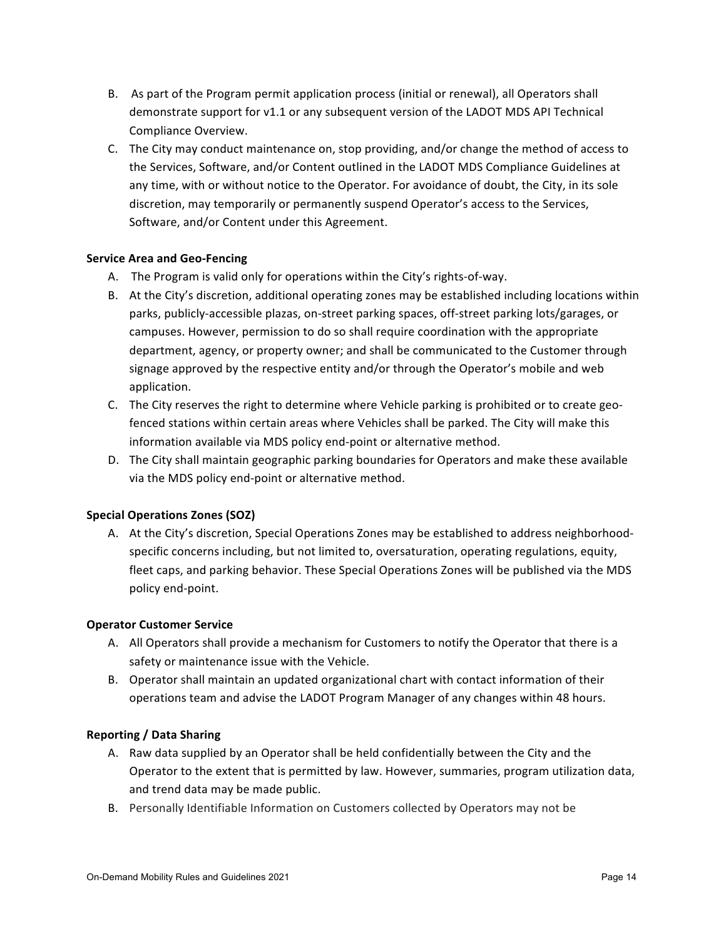- B. As part of the Program permit application process (initial or renewal), all Operators shall demonstrate support for v1.1 or any subsequent version of the LADOT MDS API Technical Compliance Overview.
- C. The City may conduct maintenance on, stop providing, and/or change the method of access to the Services, Software, and/or Content outlined in the LADOT MDS Compliance Guidelines at any time, with or without notice to the Operator. For avoidance of doubt, the City, in its sole discretion, may temporarily or permanently suspend Operator's access to the Services, Software, and/or Content under this Agreement.

### **Service Area and Geo-Fencing**

- A. The Program is valid only for operations within the City's rights-of-way.
- B. At the City's discretion, additional operating zones may be established including locations within parks, publicly-accessible plazas, on-street parking spaces, off-street parking lots/garages, or campuses. However, permission to do so shall require coordination with the appropriate department, agency, or property owner; and shall be communicated to the Customer through signage approved by the respective entity and/or through the Operator's mobile and web application.
- C. The City reserves the right to determine where Vehicle parking is prohibited or to create geofenced stations within certain areas where Vehicles shall be parked. The City will make this information available via MDS policy end-point or alternative method.
- D. The City shall maintain geographic parking boundaries for Operators and make these available via the MDS policy end-point or alternative method.

# **Special Operations Zones (SOZ)**

A. At the City's discretion, Special Operations Zones may be established to address neighborhoodspecific concerns including, but not limited to, oversaturation, operating regulations, equity, fleet caps, and parking behavior. These Special Operations Zones will be published via the MDS policy end-point.

# **Operator Customer Service**

- A. All Operators shall provide a mechanism for Customers to notify the Operator that there is a safety or maintenance issue with the Vehicle.
- B. Operator shall maintain an updated organizational chart with contact information of their operations team and advise the LADOT Program Manager of any changes within 48 hours.

#### **Reporting / Data Sharing**

- A. Raw data supplied by an Operator shall be held confidentially between the City and the Operator to the extent that is permitted by law. However, summaries, program utilization data, and trend data may be made public.
- B. Personally Identifiable Information on Customers collected by Operators may not be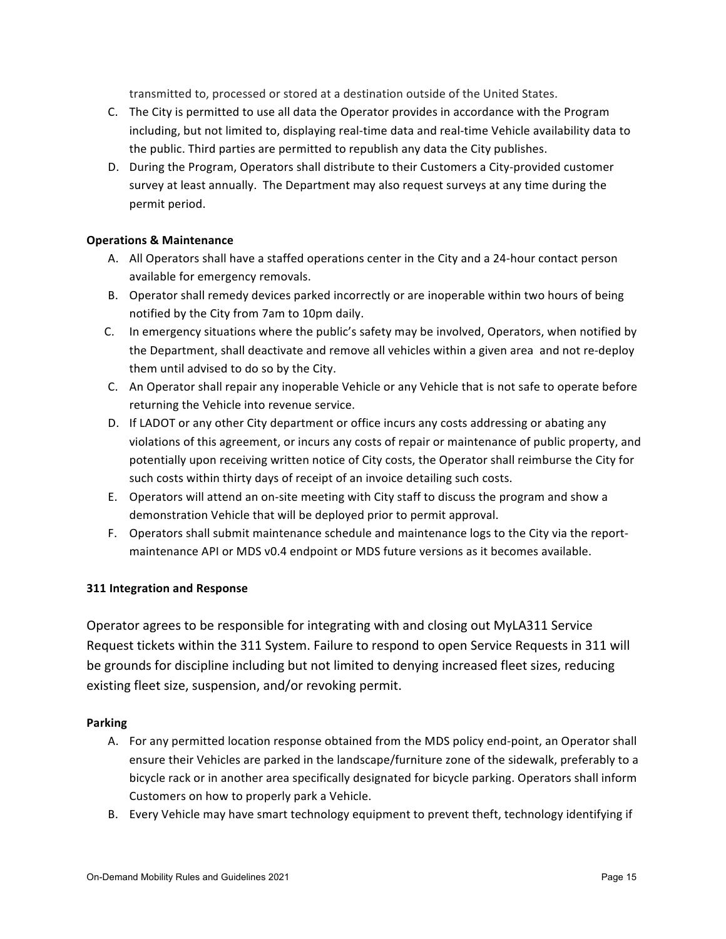transmitted to, processed or stored at a destination outside of the United States.

- C. The City is permitted to use all data the Operator provides in accordance with the Program including, but not limited to, displaying real-time data and real-time Vehicle availability data to the public. Third parties are permitted to republish any data the City publishes.
- D. During the Program, Operators shall distribute to their Customers a City-provided customer survey at least annually. The Department may also request surveys at any time during the permit period.

### **Operations & Maintenance**

- A. All Operators shall have a staffed operations center in the City and a 24-hour contact person available for emergency removals.
- B. Operator shall remedy devices parked incorrectly or are inoperable within two hours of being notified by the City from 7am to 10pm daily.
- C. In emergency situations where the public's safety may be involved, Operators, when notified by the Department, shall deactivate and remove all vehicles within a given area and not re-deploy them until advised to do so by the City.
- C. An Operator shall repair any inoperable Vehicle or any Vehicle that is not safe to operate before returning the Vehicle into revenue service.
- D. If LADOT or any other City department or office incurs any costs addressing or abating any violations of this agreement, or incurs any costs of repair or maintenance of public property, and potentially upon receiving written notice of City costs, the Operator shall reimburse the City for such costs within thirty days of receipt of an invoice detailing such costs.
- E. Operators will attend an on-site meeting with City staff to discuss the program and show a demonstration Vehicle that will be deployed prior to permit approval.
- F. Operators shall submit maintenance schedule and maintenance logs to the City via the reportmaintenance API or MDS v0.4 endpoint or MDS future versions as it becomes available.

#### **311 Integration and Response**

Operator agrees to be responsible for integrating with and closing out MyLA311 Service Request tickets within the 311 System. Failure to respond to open Service Requests in 311 will be grounds for discipline including but not limited to denying increased fleet sizes, reducing existing fleet size, suspension, and/or revoking permit.

#### **Parking**

- A. For any permitted location response obtained from the MDS policy end-point, an Operator shall ensure their Vehicles are parked in the landscape/furniture zone of the sidewalk, preferably to a bicycle rack or in another area specifically designated for bicycle parking. Operators shall inform Customers on how to properly park a Vehicle.
- B. Every Vehicle may have smart technology equipment to prevent theft, technology identifying if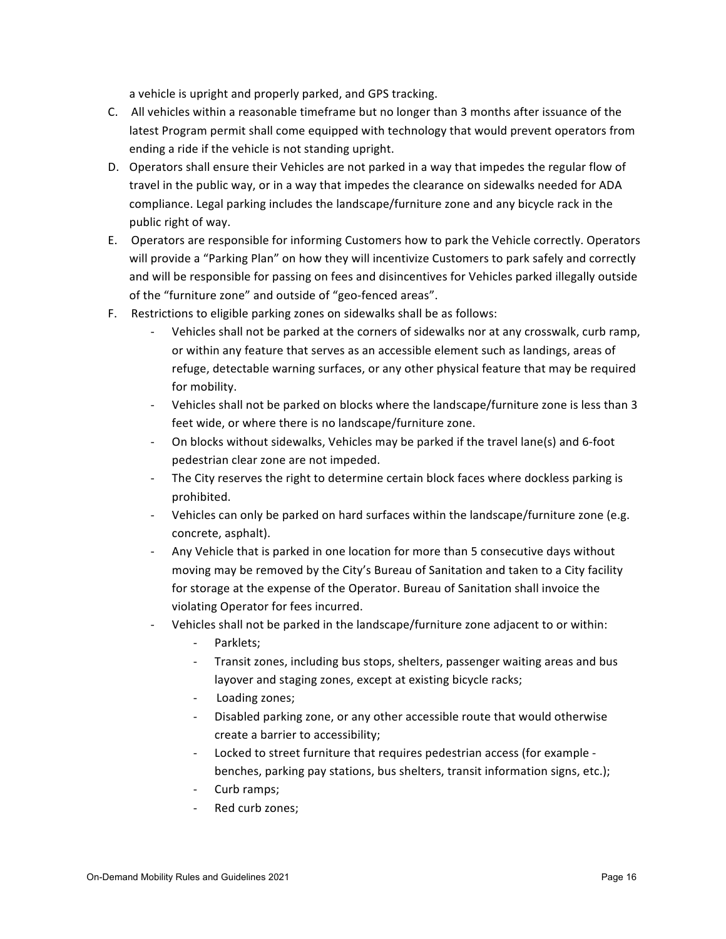a vehicle is upright and properly parked, and GPS tracking.

- C. All vehicles within a reasonable timeframe but no longer than 3 months after issuance of the latest Program permit shall come equipped with technology that would prevent operators from ending a ride if the vehicle is not standing upright.
- D. Operators shall ensure their Vehicles are not parked in a way that impedes the regular flow of travel in the public way, or in a way that impedes the clearance on sidewalks needed for ADA compliance. Legal parking includes the landscape/furniture zone and any bicycle rack in the public right of way.
- E. Operators are responsible for informing Customers how to park the Vehicle correctly. Operators will provide a "Parking Plan" on how they will incentivize Customers to park safely and correctly and will be responsible for passing on fees and disincentives for Vehicles parked illegally outside of the "furniture zone" and outside of "geo-fenced areas".
- F. Restrictions to eligible parking zones on sidewalks shall be as follows:
	- Vehicles shall not be parked at the corners of sidewalks nor at any crosswalk, curb ramp, or within any feature that serves as an accessible element such as landings, areas of refuge, detectable warning surfaces, or any other physical feature that may be required for mobility.
	- Vehicles shall not be parked on blocks where the landscape/furniture zone is less than 3 feet wide, or where there is no landscape/furniture zone.
	- On blocks without sidewalks, Vehicles may be parked if the travel lane(s) and 6-foot pedestrian clear zone are not impeded.
	- The City reserves the right to determine certain block faces where dockless parking is prohibited.
	- Vehicles can only be parked on hard surfaces within the landscape/furniture zone (e.g. concrete, asphalt).
	- Any Vehicle that is parked in one location for more than 5 consecutive days without moving may be removed by the City's Bureau of Sanitation and taken to a City facility for storage at the expense of the Operator. Bureau of Sanitation shall invoice the violating Operator for fees incurred.
	- Vehicles shall not be parked in the landscape/furniture zone adjacent to or within:
		- Parklets:
		- Transit zones, including bus stops, shelters, passenger waiting areas and bus layover and staging zones, except at existing bicycle racks;
		- Loading zones;
		- Disabled parking zone, or any other accessible route that would otherwise create a barrier to accessibility;
		- Locked to street furniture that requires pedestrian access (for example benches, parking pay stations, bus shelters, transit information signs, etc.);
		- Curb ramps;
		- Red curb zones: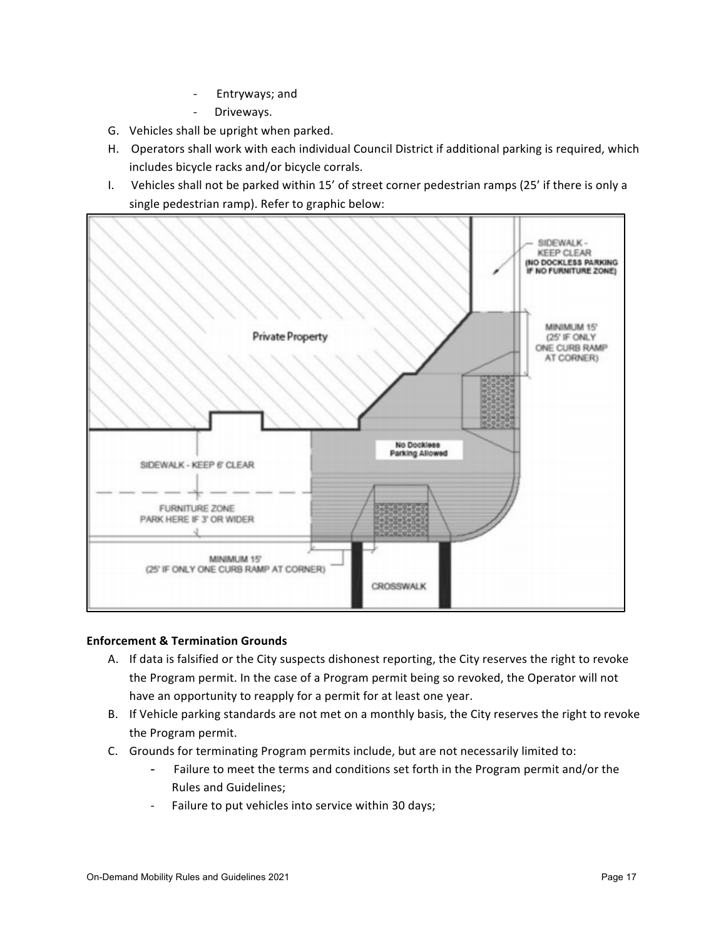- Entryways; and
- Driveways.
- G. Vehicles shall be upright when parked.
- H. Operators shall work with each individual Council District if additional parking is required, which includes bicycle racks and/or bicycle corrals.
- I. Vehicles shall not be parked within 15' of street corner pedestrian ramps (25' if there is only a single pedestrian ramp). Refer to graphic below:



# **Enforcement & Termination Grounds**

- A. If data is falsified or the City suspects dishonest reporting, the City reserves the right to revoke the Program permit. In the case of a Program permit being so revoked, the Operator will not have an opportunity to reapply for a permit for at least one year.
- B. If Vehicle parking standards are not met on a monthly basis, the City reserves the right to revoke the Program permit.
- C. Grounds for terminating Program permits include, but are not necessarily limited to:
	- Failure to meet the terms and conditions set forth in the Program permit and/or the Rules and Guidelines;
	- Failure to put vehicles into service within 30 days;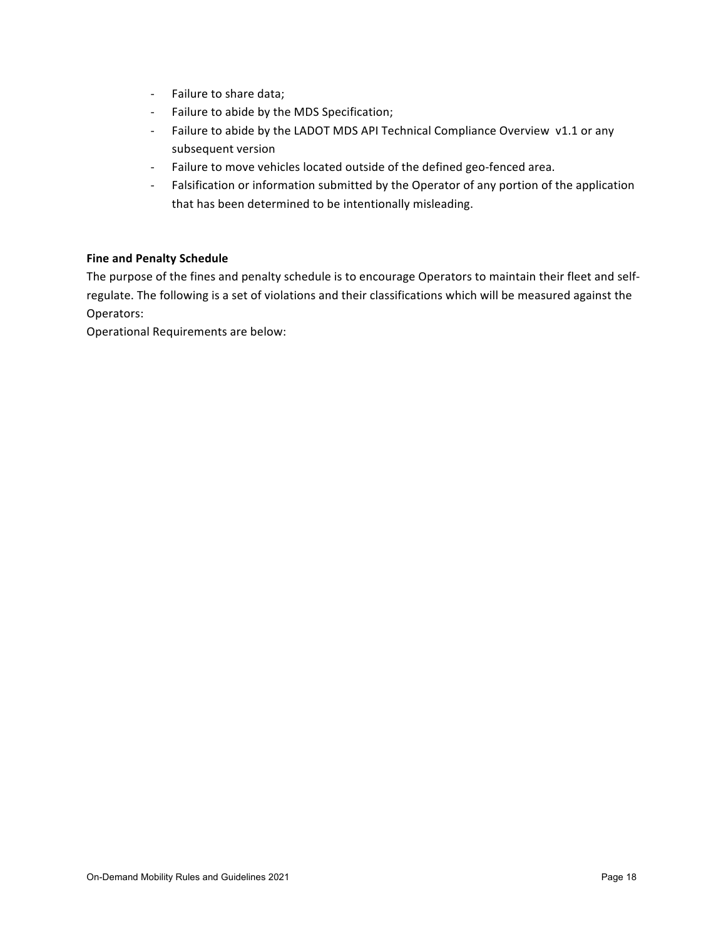- Failure to share data;
- Failure to abide by the MDS Specification;
- Failure to abide by the LADOT MDS API Technical Compliance Overview v1.1 or any subsequent version
- Failure to move vehicles located outside of the defined geo-fenced area.
- Falsification or information submitted by the Operator of any portion of the application that has been determined to be intentionally misleading.

### **Fine and Penalty Schedule**

The purpose of the fines and penalty schedule is to encourage Operators to maintain their fleet and selfregulate. The following is a set of violations and their classifications which will be measured against the Operators:

Operational Requirements are below: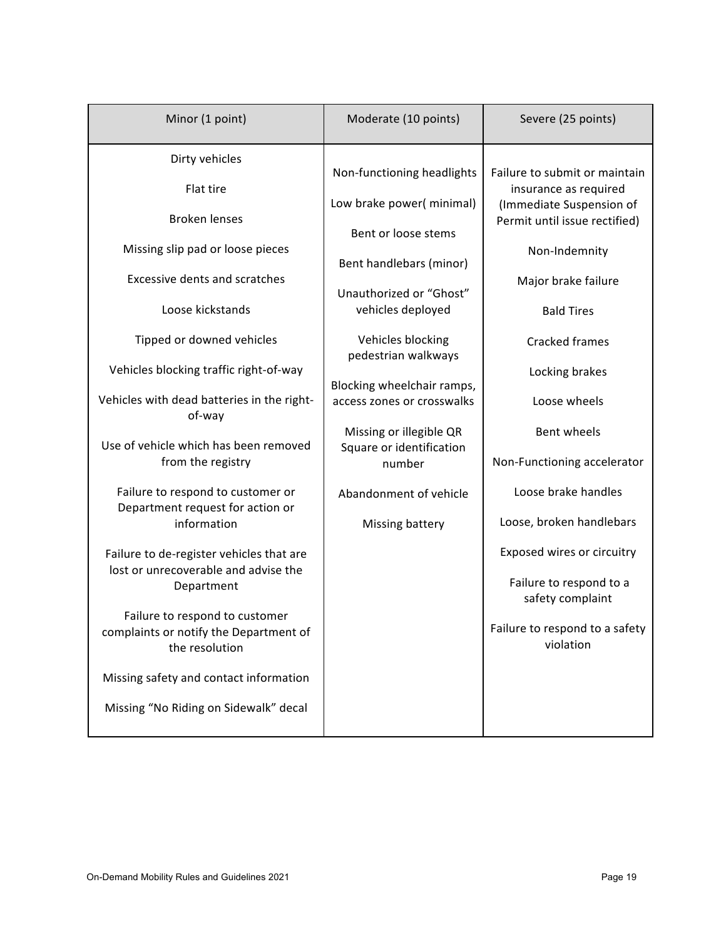| Minor (1 point)                                                                                                          | Moderate (10 points)                                                                                     | Severe (25 points)                                                                                                                                          |
|--------------------------------------------------------------------------------------------------------------------------|----------------------------------------------------------------------------------------------------------|-------------------------------------------------------------------------------------------------------------------------------------------------------------|
| Dirty vehicles<br>Flat tire<br><b>Broken lenses</b><br>Missing slip pad or loose pieces<br>Excessive dents and scratches | Non-functioning headlights<br>Low brake power(minimal)<br>Bent or loose stems<br>Bent handlebars (minor) | Failure to submit or maintain<br>insurance as required<br>(Immediate Suspension of<br>Permit until issue rectified)<br>Non-Indemnity<br>Major brake failure |
| Loose kickstands                                                                                                         | Unauthorized or "Ghost"<br>vehicles deployed                                                             | <b>Bald Tires</b>                                                                                                                                           |
| Tipped or downed vehicles                                                                                                | Vehicles blocking<br>pedestrian walkways                                                                 | <b>Cracked frames</b>                                                                                                                                       |
| Vehicles blocking traffic right-of-way                                                                                   | Blocking wheelchair ramps,                                                                               | Locking brakes                                                                                                                                              |
| Vehicles with dead batteries in the right-<br>of-way                                                                     | access zones or crosswalks                                                                               | Loose wheels                                                                                                                                                |
| Use of vehicle which has been removed<br>from the registry                                                               | Missing or illegible QR<br>Square or identification<br>number                                            | Bent wheels<br>Non-Functioning accelerator                                                                                                                  |
| Failure to respond to customer or<br>Department request for action or                                                    | Abandonment of vehicle                                                                                   | Loose brake handles                                                                                                                                         |
| information                                                                                                              | Missing battery                                                                                          | Loose, broken handlebars                                                                                                                                    |
| Failure to de-register vehicles that are                                                                                 |                                                                                                          | Exposed wires or circuitry                                                                                                                                  |
| lost or unrecoverable and advise the<br>Department                                                                       |                                                                                                          | Failure to respond to a<br>safety complaint                                                                                                                 |
| Failure to respond to customer<br>complaints or notify the Department of<br>the resolution                               |                                                                                                          | Failure to respond to a safety<br>violation                                                                                                                 |
| Missing safety and contact information                                                                                   |                                                                                                          |                                                                                                                                                             |
| Missing "No Riding on Sidewalk" decal                                                                                    |                                                                                                          |                                                                                                                                                             |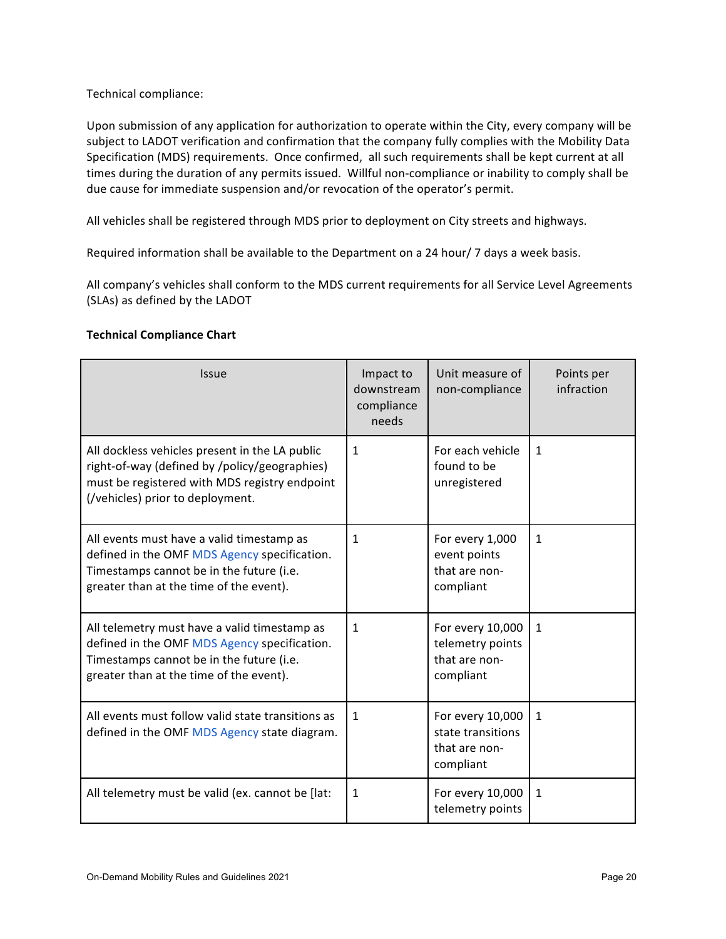Technical compliance:

Upon submission of any application for authorization to operate within the City, every company will be subject to LADOT verification and confirmation that the company fully complies with the Mobility Data Specification (MDS) requirements. Once confirmed, all such requirements shall be kept current at all times during the duration of any permits issued. Willful non-compliance or inability to comply shall be due cause for immediate suspension and/or revocation of the operator's permit.

All vehicles shall be registered through MDS prior to deployment on City streets and highways.

Required information shall be available to the Department on a 24 hour/ 7 days a week basis.

All company's vehicles shall conform to the MDS current requirements for all Service Level Agreements (SLAs) as defined by the LADOT

# **Technical Compliance Chart**

| <b>Issue</b>                                                                                                                                                                         | Impact to<br>downstream<br>compliance<br>needs | Unit measure of<br>non-compliance                                   | Points per<br>infraction |
|--------------------------------------------------------------------------------------------------------------------------------------------------------------------------------------|------------------------------------------------|---------------------------------------------------------------------|--------------------------|
| All dockless vehicles present in the LA public<br>right-of-way (defined by /policy/geographies)<br>must be registered with MDS registry endpoint<br>(/vehicles) prior to deployment. | $\mathbf{1}$                                   | For each vehicle<br>found to be<br>unregistered                     | $\mathbf{1}$             |
| All events must have a valid timestamp as<br>defined in the OMF MDS Agency specification.<br>Timestamps cannot be in the future (i.e.<br>greater than at the time of the event).     | $\mathbf{1}$                                   | For every 1,000<br>event points<br>that are non-<br>compliant       | $\mathbf{1}$             |
| All telemetry must have a valid timestamp as<br>defined in the OMF MDS Agency specification.<br>Timestamps cannot be in the future (i.e.<br>greater than at the time of the event).  | $\mathbf{1}$                                   | For every 10,000<br>telemetry points<br>that are non-<br>compliant  | $\mathbf{1}$             |
| All events must follow valid state transitions as<br>defined in the OMF MDS Agency state diagram.                                                                                    | $\mathbf{1}$                                   | For every 10,000<br>state transitions<br>that are non-<br>compliant | $\mathbf{1}$             |
| All telemetry must be valid (ex. cannot be [lat:                                                                                                                                     | $\mathbf{1}$                                   | For every 10,000<br>telemetry points                                | $\mathbf{1}$             |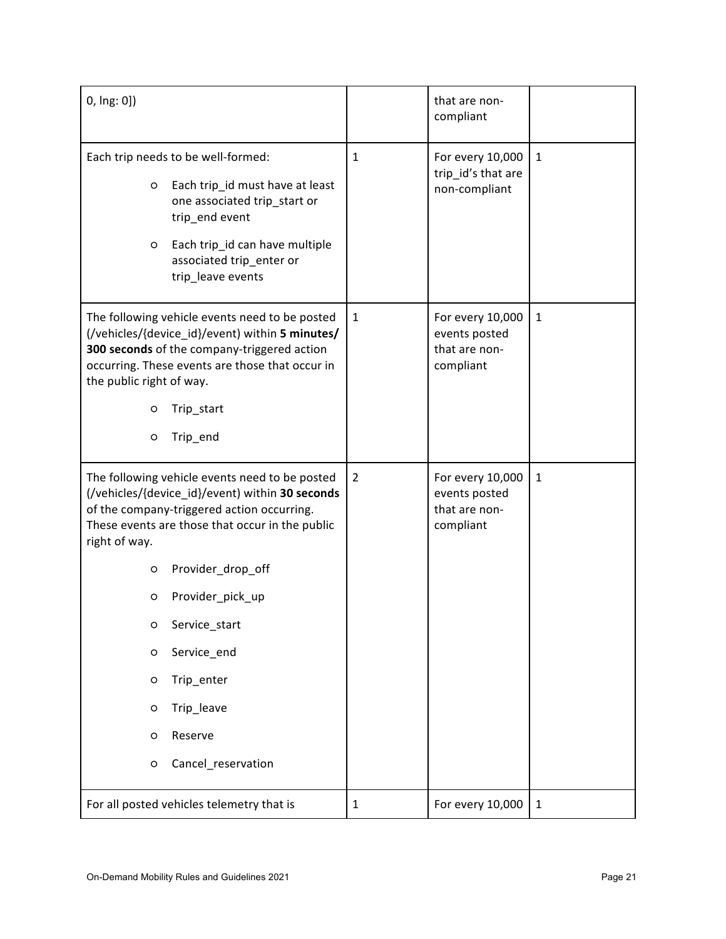| 0, Ing: 0])                                                                                                                                                                                                         |                                                                                                                                                                                                                               |                | that are non-<br>compliant                                      |              |
|---------------------------------------------------------------------------------------------------------------------------------------------------------------------------------------------------------------------|-------------------------------------------------------------------------------------------------------------------------------------------------------------------------------------------------------------------------------|----------------|-----------------------------------------------------------------|--------------|
| $\circ$<br>O                                                                                                                                                                                                        | Each trip needs to be well-formed:<br>Each trip_id must have at least<br>one associated trip_start or<br>trip_end event<br>Each trip_id can have multiple<br>associated trip_enter or<br>trip_leave events                    | 1              | For every 10,000<br>trip_id's that are<br>non-compliant         | $\mathbf{1}$ |
| the public right of way.<br>O<br>O                                                                                                                                                                                  | The following vehicle events need to be posted<br>(/vehicles/{device_id}/event) within 5 minutes/<br>300 seconds of the company-triggered action<br>occurring. These events are those that occur in<br>Trip_start<br>Trip_end | $\mathbf{1}$   | For every 10,000<br>events posted<br>that are non-<br>compliant | $\mathbf{1}$ |
| The following vehicle events need to be posted<br>(/vehicles/{device_id}/event) within 30 seconds<br>of the company-triggered action occurring.<br>These events are those that occur in the public<br>right of way. |                                                                                                                                                                                                                               | $\overline{2}$ | For every 10,000<br>events posted<br>that are non-<br>compliant | $\mathbf{1}$ |
| O                                                                                                                                                                                                                   | Provider_drop_off                                                                                                                                                                                                             |                |                                                                 |              |
| O                                                                                                                                                                                                                   | Provider_pick_up                                                                                                                                                                                                              |                |                                                                 |              |
| O                                                                                                                                                                                                                   | Service_start                                                                                                                                                                                                                 |                |                                                                 |              |
| O                                                                                                                                                                                                                   | Service_end                                                                                                                                                                                                                   |                |                                                                 |              |
| $\circ$                                                                                                                                                                                                             | Trip_enter                                                                                                                                                                                                                    |                |                                                                 |              |
| $\circ$                                                                                                                                                                                                             | Trip_leave                                                                                                                                                                                                                    |                |                                                                 |              |
| O                                                                                                                                                                                                                   | Reserve                                                                                                                                                                                                                       |                |                                                                 |              |
| $\circ$                                                                                                                                                                                                             | Cancel_reservation                                                                                                                                                                                                            |                |                                                                 |              |
|                                                                                                                                                                                                                     | For all posted vehicles telemetry that is                                                                                                                                                                                     | $\mathbf{1}$   | For every 10,000                                                | $\mathbf{1}$ |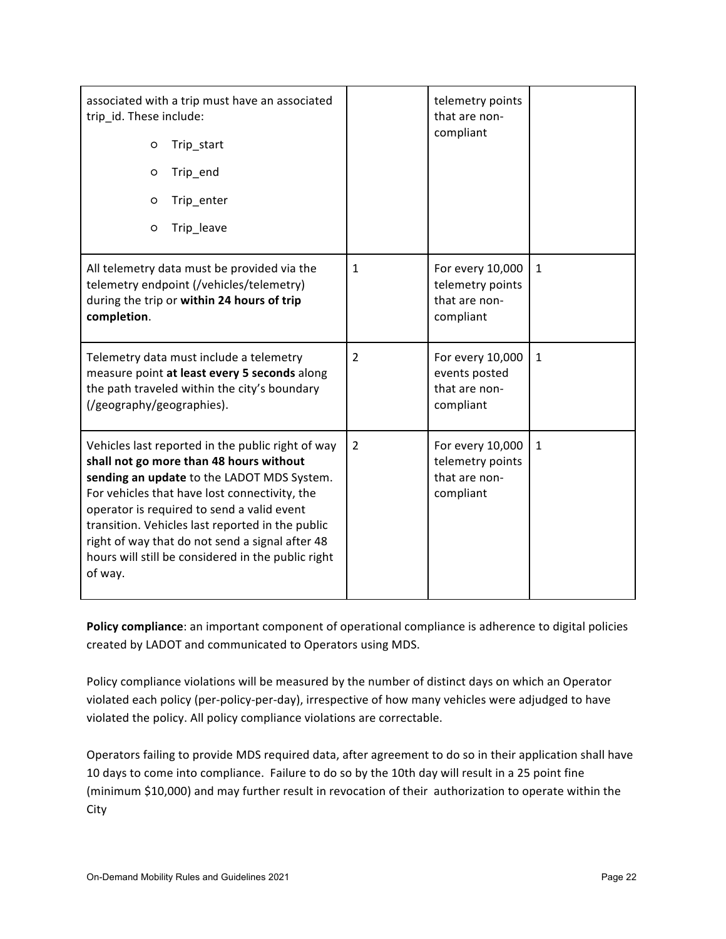| associated with a trip must have an associated<br>trip_id. These include:<br>Trip_start<br>$\circ$<br>Trip_end<br>O<br>Trip_enter<br>$\circ$<br>Trip leave<br>O                                                                                                                                                                                                                                                   |                | telemetry points<br>that are non-<br>compliant                     |              |
|-------------------------------------------------------------------------------------------------------------------------------------------------------------------------------------------------------------------------------------------------------------------------------------------------------------------------------------------------------------------------------------------------------------------|----------------|--------------------------------------------------------------------|--------------|
| All telemetry data must be provided via the<br>telemetry endpoint (/vehicles/telemetry)<br>during the trip or within 24 hours of trip<br>completion.                                                                                                                                                                                                                                                              | $\mathbf{1}$   | For every 10,000<br>telemetry points<br>that are non-<br>compliant | $\mathbf{1}$ |
| Telemetry data must include a telemetry<br>measure point at least every 5 seconds along<br>the path traveled within the city's boundary<br>(/geography/geographies).                                                                                                                                                                                                                                              | $\overline{2}$ | For every 10,000<br>events posted<br>that are non-<br>compliant    | 1            |
| Vehicles last reported in the public right of way<br>shall not go more than 48 hours without<br>sending an update to the LADOT MDS System.<br>For vehicles that have lost connectivity, the<br>operator is required to send a valid event<br>transition. Vehicles last reported in the public<br>right of way that do not send a signal after 48<br>hours will still be considered in the public right<br>of way. | $\overline{2}$ | For every 10,000<br>telemetry points<br>that are non-<br>compliant | $\mathbf{1}$ |

**Policy compliance**: an important component of operational compliance is adherence to digital policies created by LADOT and communicated to Operators using MDS.

Policy compliance violations will be measured by the number of distinct days on which an Operator violated each policy (per-policy-per-day), irrespective of how many vehicles were adjudged to have violated the policy. All policy compliance violations are correctable.

Operators failing to provide MDS required data, after agreement to do so in their application shall have 10 days to come into compliance. Failure to do so by the 10th day will result in a 25 point fine (minimum \$10,000) and may further result in revocation of their authorization to operate within the City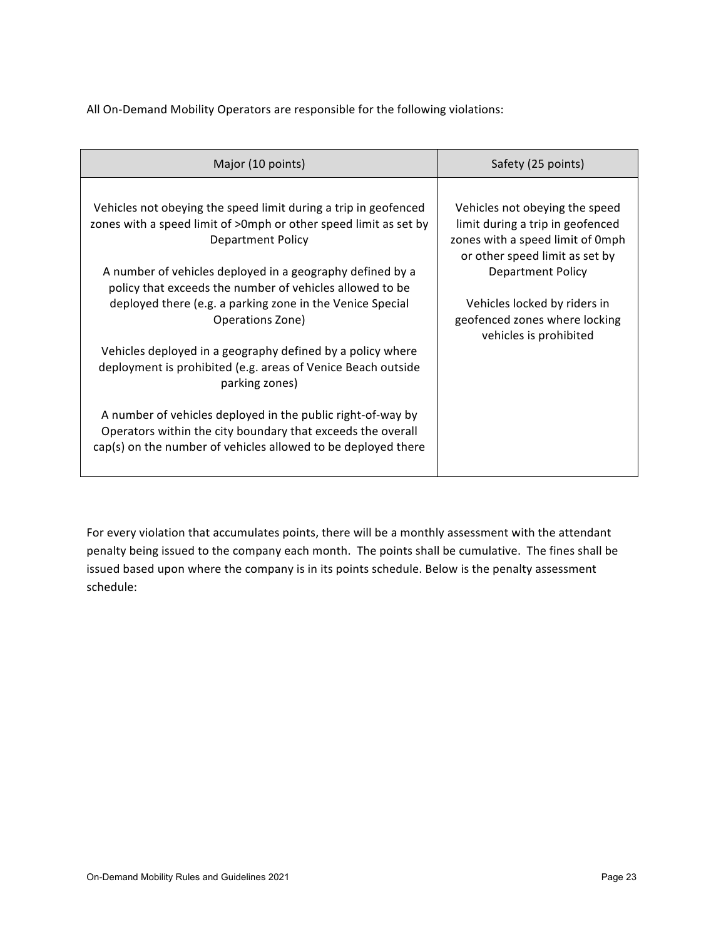All On-Demand Mobility Operators are responsible for the following violations:

| Major (10 points)                                                                                                                                                                           | Safety (25 points)                                                                                                                       |
|---------------------------------------------------------------------------------------------------------------------------------------------------------------------------------------------|------------------------------------------------------------------------------------------------------------------------------------------|
| Vehicles not obeying the speed limit during a trip in geofenced<br>zones with a speed limit of >0mph or other speed limit as set by<br><b>Department Policy</b>                             | Vehicles not obeying the speed<br>limit during a trip in geofenced<br>zones with a speed limit of 0mph<br>or other speed limit as set by |
| A number of vehicles deployed in a geography defined by a<br>policy that exceeds the number of vehicles allowed to be                                                                       | <b>Department Policy</b>                                                                                                                 |
| deployed there (e.g. a parking zone in the Venice Special<br>Operations Zone)                                                                                                               | Vehicles locked by riders in<br>geofenced zones where locking<br>vehicles is prohibited                                                  |
| Vehicles deployed in a geography defined by a policy where<br>deployment is prohibited (e.g. areas of Venice Beach outside<br>parking zones)                                                |                                                                                                                                          |
| A number of vehicles deployed in the public right-of-way by<br>Operators within the city boundary that exceeds the overall<br>cap(s) on the number of vehicles allowed to be deployed there |                                                                                                                                          |

For every violation that accumulates points, there will be a monthly assessment with the attendant penalty being issued to the company each month. The points shall be cumulative. The fines shall be issued based upon where the company is in its points schedule. Below is the penalty assessment schedule: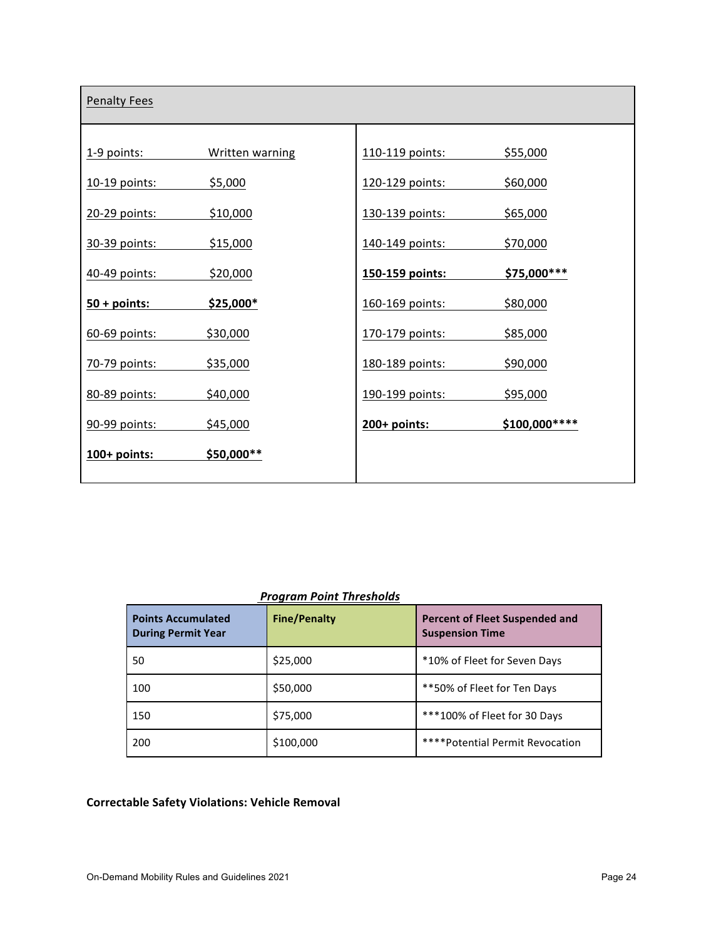| <b>Penalty Fees</b> |                        |                 |                |
|---------------------|------------------------|-----------------|----------------|
|                     |                        |                 |                |
| 1-9 points:         | <b>Written warning</b> | 110-119 points: | \$55,000       |
| 10-19 points:       | \$5,000                | 120-129 points: | \$60,000       |
| 20-29 points:       | \$10,000               | 130-139 points: | \$65,000       |
| 30-39 points:       | \$15,000               | 140-149 points: | \$70,000       |
| 40-49 points:       | \$20,000               | 150-159 points: | \$75,000 ***   |
| $50 + points:$      | $$25,000*$             | 160-169 points: | \$80,000       |
| 60-69 points:       | \$30,000               | 170-179 points: | \$85,000       |
| 70-79 points:       | \$35,000               | 180-189 points: | \$90,000       |
| 80-89 points:       | \$40,000               | 190-199 points: | \$95,000       |
| 90-99 points:       | \$45,000               | 200+ points:    | \$100,000 **** |
| 100+ points:        | \$50,000**             |                 |                |

*Program Point Thresholds*

| <b>Points Accumulated</b><br><b>During Permit Year</b> | <b>Fine/Penalty</b> | <b>Percent of Fleet Suspended and</b><br><b>Suspension Time</b> |
|--------------------------------------------------------|---------------------|-----------------------------------------------------------------|
| 50                                                     | \$25,000            | *10% of Fleet for Seven Days                                    |
| 100                                                    | \$50,000            | **50% of Fleet for Ten Days                                     |
| 150                                                    | \$75,000            | ***100% of Fleet for 30 Days                                    |
| 200                                                    | \$100,000           | ****Potential Permit Revocation                                 |

# **Correctable Safety Violations: Vehicle Removal**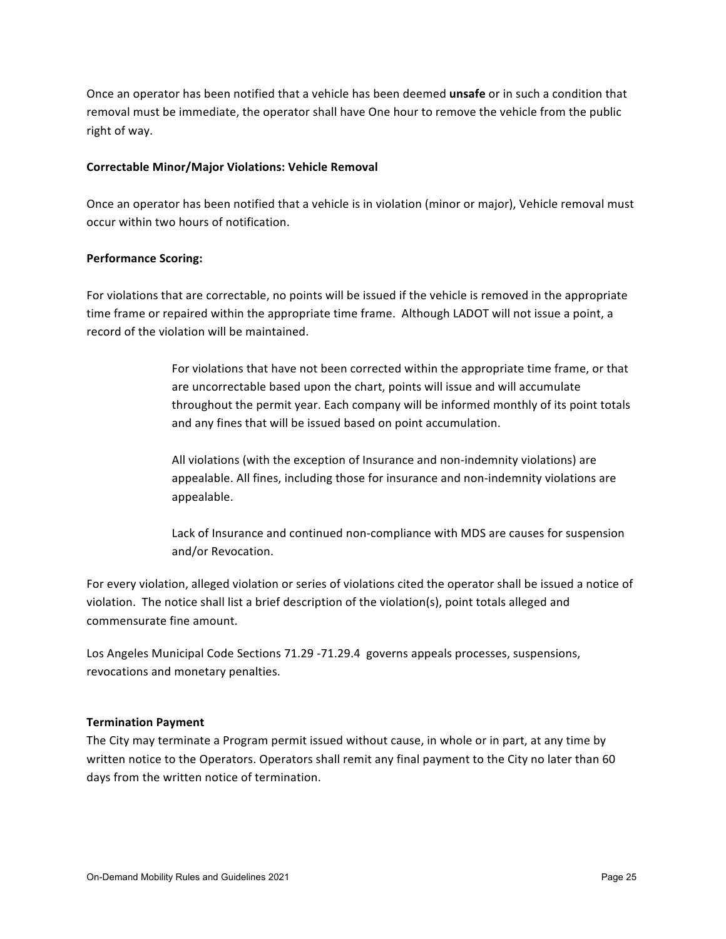Once an operator has been notified that a vehicle has been deemed **unsafe** or in such a condition that removal must be immediate, the operator shall have One hour to remove the vehicle from the public right of way.

### **Correctable Minor/Major Violations: Vehicle Removal**

Once an operator has been notified that a vehicle is in violation (minor or major), Vehicle removal must occur within two hours of notification.

#### **Performance Scoring:**

For violations that are correctable, no points will be issued if the vehicle is removed in the appropriate time frame or repaired within the appropriate time frame. Although LADOT will not issue a point, a record of the violation will be maintained.

> For violations that have not been corrected within the appropriate time frame, or that are uncorrectable based upon the chart, points will issue and will accumulate throughout the permit year. Each company will be informed monthly of its point totals and any fines that will be issued based on point accumulation.

All violations (with the exception of Insurance and non-indemnity violations) are appealable. All fines, including those for insurance and non-indemnity violations are appealable.

Lack of Insurance and continued non-compliance with MDS are causes for suspension and/or Revocation.

For every violation, alleged violation or series of violations cited the operator shall be issued a notice of violation. The notice shall list a brief description of the violation(s), point totals alleged and commensurate fine amount.

Los Angeles Municipal Code Sections 71.29 -71.29.4 governs appeals processes, suspensions, revocations and monetary penalties.

#### **Termination Payment**

The City may terminate a Program permit issued without cause, in whole or in part, at any time by written notice to the Operators. Operators shall remit any final payment to the City no later than 60 days from the written notice of termination.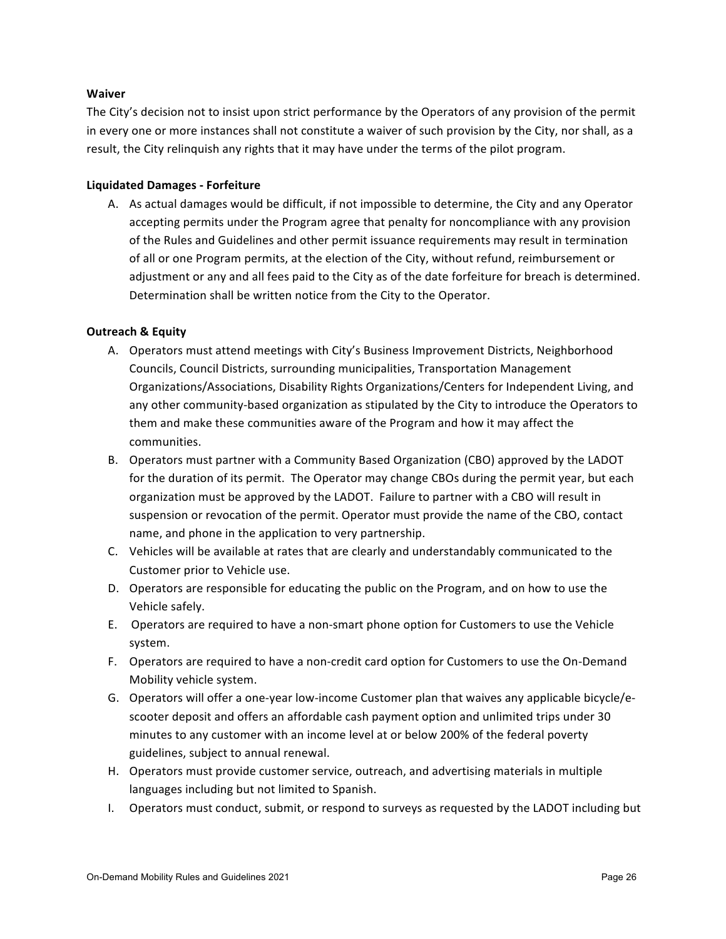### **Waiver**

The City's decision not to insist upon strict performance by the Operators of any provision of the permit in every one or more instances shall not constitute a waiver of such provision by the City, nor shall, as a result, the City relinquish any rights that it may have under the terms of the pilot program.

### **Liquidated Damages - Forfeiture**

A. As actual damages would be difficult, if not impossible to determine, the City and any Operator accepting permits under the Program agree that penalty for noncompliance with any provision of the Rules and Guidelines and other permit issuance requirements may result in termination of all or one Program permits, at the election of the City, without refund, reimbursement or adjustment or any and all fees paid to the City as of the date forfeiture for breach is determined. Determination shall be written notice from the City to the Operator.

### **Outreach & Equity**

- A. Operators must attend meetings with City's Business Improvement Districts, Neighborhood Councils, Council Districts, surrounding municipalities, Transportation Management Organizations/Associations, Disability Rights Organizations/Centers for Independent Living, and any other community-based organization as stipulated by the City to introduce the Operators to them and make these communities aware of the Program and how it may affect the communities.
- B. Operators must partner with a Community Based Organization (CBO) approved by the LADOT for the duration of its permit. The Operator may change CBOs during the permit year, but each organization must be approved by the LADOT. Failure to partner with a CBO will result in suspension or revocation of the permit. Operator must provide the name of the CBO, contact name, and phone in the application to very partnership.
- C. Vehicles will be available at rates that are clearly and understandably communicated to the Customer prior to Vehicle use.
- D. Operators are responsible for educating the public on the Program, and on how to use the Vehicle safely.
- E. Operators are required to have a non-smart phone option for Customers to use the Vehicle system.
- F. Operators are required to have a non-credit card option for Customers to use the On-Demand Mobility vehicle system.
- G. Operators will offer a one-year low-income Customer plan that waives any applicable bicycle/escooter deposit and offers an affordable cash payment option and unlimited trips under 30 minutes to any customer with an income level at or below 200% of the federal poverty guidelines, subject to annual renewal.
- H. Operators must provide customer service, outreach, and advertising materials in multiple languages including but not limited to Spanish.
- I. Operators must conduct, submit, or respond to surveys as requested by the LADOT including but